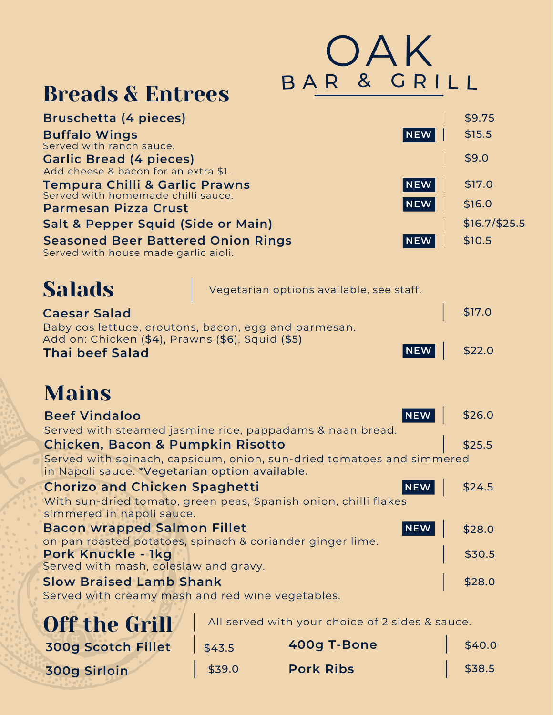|                                                                                                          |        | <b>UAK</b>                                      |            |                |
|----------------------------------------------------------------------------------------------------------|--------|-------------------------------------------------|------------|----------------|
| <b>Breads &amp; Entrees</b>                                                                              |        | BAR & GRILL                                     |            |                |
| <b>Bruschetta (4 pieces)</b>                                                                             |        |                                                 |            | \$9.75         |
| <b>Buffalo Wings</b>                                                                                     |        |                                                 | NEW        | \$15.5         |
| Served with ranch sauce.<br><b>Garlic Bread (4 pieces)</b>                                               |        |                                                 |            | \$9.0          |
| Add cheese & bacon for an extra \$1.                                                                     |        |                                                 |            |                |
| Tempura Chilli & Garlic Prawns<br>Served with homemade chilli sauce.                                     |        |                                                 | <b>NEW</b> | \$17.0         |
| <b>Parmesan Pizza Crust</b>                                                                              |        |                                                 | <b>NEW</b> | \$16.0         |
| Salt & Pepper Squid (Side or Main)                                                                       |        |                                                 |            | $$16.7/\$25.5$ |
| <b>Seasoned Beer Battered Onion Rings</b><br>Served with house made garlic aioli.                        |        |                                                 | NEW        | \$10.5         |
|                                                                                                          |        |                                                 |            |                |
| <b>Salads</b>                                                                                            |        | Vegetarian options available, see staff.        |            |                |
| <b>Caesar Salad</b>                                                                                      |        |                                                 |            | \$17.0         |
| Baby cos lettuce, croutons, bacon, egg and parmesan.<br>Add on: Chicken (\$4), Prawns (\$6), Squid (\$5) |        |                                                 |            |                |
| <b>Thai beef Salad</b>                                                                                   |        |                                                 | NEW        | \$22.0         |
|                                                                                                          |        |                                                 |            |                |
| <b>Mains</b>                                                                                             |        |                                                 |            |                |
| <b>Beef Vindaloo</b>                                                                                     |        |                                                 | <b>NEW</b> | \$26.0         |
| Served with steamed jasmine rice, pappadams & naan bread.                                                |        |                                                 |            |                |
| <b>Chicken, Bacon &amp; Pumpkin Risotto</b>                                                              |        |                                                 |            | \$25.5         |
| Served with spinach, capsicum, onion, sun-dried tomatoes and simmered                                    |        |                                                 |            |                |
| in Napoli sauce. *Vegetarian option available.<br><b>Chorizo and Chicken Spaghetti</b>                   |        |                                                 | <b>NEW</b> | \$24.5         |
| With sun-dried tomato, green peas, Spanish onion, chilli flakes                                          |        |                                                 |            |                |
| simmered in napoli sauce.                                                                                |        |                                                 |            |                |
| <b>Bacon wrapped Salmon Fillet</b>                                                                       |        |                                                 | NEW        | \$28.0         |
| on pan roasted potatoes, spinach & coriander ginger lime.<br>Pork Knuckle - 1kg                          |        |                                                 |            | \$30.5         |
| Served with mash, coleslaw and gravy.                                                                    |        |                                                 |            |                |
| <b>Slow Braised Lamb Shank</b>                                                                           |        |                                                 |            | \$28.0         |
| Served with creamy mash and red wine vegetables.                                                         |        |                                                 |            |                |
| <b>Off the Grill</b>                                                                                     |        | All served with your choice of 2 sides & sauce. |            |                |
| <b>300g Scotch Fillet</b>                                                                                | \$43.5 | 400g T-Bone                                     |            | \$40.0         |
| 300g Sirloin                                                                                             | \$39.0 | <b>Pork Ribs</b>                                |            | \$38.5         |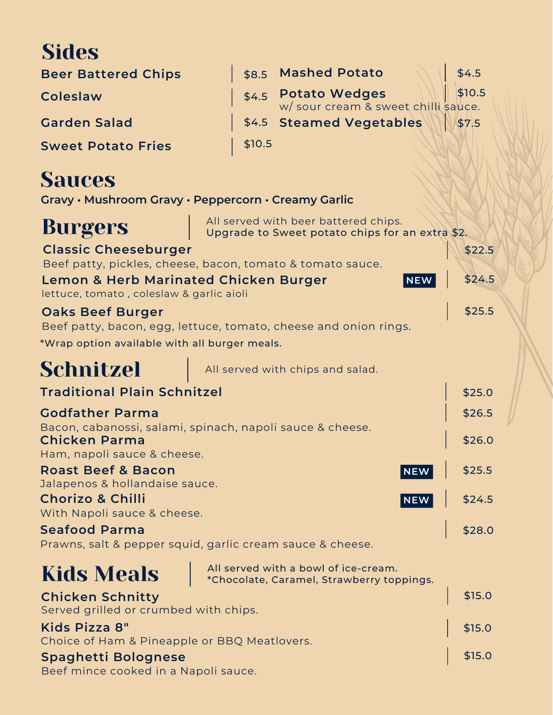# **Sides**

| <b>Beer Battered Chips</b> |        | \$8.5 Mashed Potato                    | \$4.5  |
|----------------------------|--------|----------------------------------------|--------|
| <b>Coleslaw</b>            |        | \$4.5 Potato Wedges Wedges Well \$10.5 | \$10.5 |
| <b>Garden Salad</b>        |        | \$4.5 Steamed Vegetables               | \$7.5  |
| <b>Sweet Potato Fries</b>  | \$10.5 |                                        |        |

## **Sauces**

**Gravy • Mushroom Gravy • Peppercorn • Creamy Garlic**

| <b>Burgers</b>                                                                               | All served with beer battered chips.<br>Upgrade to Sweet potato chips for an extra \$2. |        |
|----------------------------------------------------------------------------------------------|-----------------------------------------------------------------------------------------|--------|
| <b>Classic Cheeseburger</b>                                                                  |                                                                                         | \$22.5 |
|                                                                                              | Beef patty, pickles, cheese, bacon, tomato & tomato sauce.                              |        |
| <b>Lemon &amp; Herb Marinated Chicken Burger</b><br>lettuce, tomato, coleslaw & garlic aioli | <b>NEW</b>                                                                              | \$24.5 |
| <b>Oaks Beef Burger</b>                                                                      |                                                                                         | \$25.5 |
|                                                                                              | Beef patty, bacon, egg, lettuce, tomato, cheese and onion rings.                        |        |
| *Wrap option available with all burger meals.                                                |                                                                                         |        |
| Schnitzel                                                                                    | All served with chips and salad.                                                        |        |
| <b>Traditional Plain Schnitzel</b>                                                           |                                                                                         | \$25.0 |
| <b>Godfather Parma</b>                                                                       |                                                                                         | \$26.5 |
|                                                                                              | Bacon, cabanossi, salami, spinach, napoli sauce & cheese.                               |        |
| <b>Chicken Parma</b>                                                                         |                                                                                         | \$26.0 |
| Ham, napoli sauce & cheese.<br><b>Roast Beef &amp; Bacon</b>                                 |                                                                                         |        |
| Jalapenos & hollandaise sauce.                                                               | <b>NEW</b>                                                                              | \$25.5 |
| <b>Chorizo &amp; Chilli</b>                                                                  | <b>NEW</b>                                                                              | \$24.5 |
| With Napoli sauce & cheese.                                                                  |                                                                                         |        |
| <b>Seafood Parma</b>                                                                         |                                                                                         | \$28.0 |
|                                                                                              | Prawns, salt & pepper squid, garlic cream sauce & cheese.                               |        |
| <b>Kids Meals</b>                                                                            | All served with a bowl of ice-cream.<br>*Chocolate, Caramel, Strawberry toppings.       |        |
| <b>Chicken Schnitty</b><br>Served grilled or crumbed with chips.                             |                                                                                         | \$15.0 |
| Kids Pizza 8"                                                                                |                                                                                         | \$15.0 |

**Spaghetti Bolognese** \$15.0 **\$15.0** \$15.0 **Kids Pizza 8"** Choice of Ham & Pineapple or BBQ Meatlovers.

Beef mince cooked in a Napoli sauce.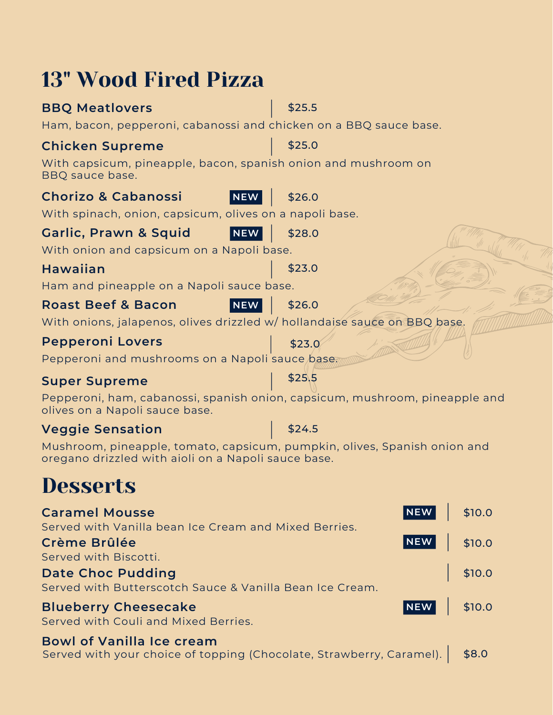| <b>13" Wood Fired Pizza</b>                                                       |                                                                             |
|-----------------------------------------------------------------------------------|-----------------------------------------------------------------------------|
| <b>BBQ Meatlovers</b>                                                             | \$25.5                                                                      |
| Ham, bacon, pepperoni, cabanossi and chicken on a BBQ sauce base.                 |                                                                             |
| <b>Chicken Supreme</b>                                                            | \$25.0                                                                      |
| With capsicum, pineapple, bacon, spanish onion and mushroom on<br>BBQ sauce base. |                                                                             |
| <b>Chorizo &amp; Cabanossi</b><br>NEW                                             | \$26.0                                                                      |
| With spinach, onion, capsicum, olives on a napoli base.                           |                                                                             |
| Garlic, Prawn & Squid<br><b>NEW</b>                                               | \$28.0                                                                      |
| With onion and capsicum on a Napoli base.                                         |                                                                             |
| <b>Hawaiian</b>                                                                   | \$23.0                                                                      |
| Ham and pineapple on a Napoli sauce base.                                         |                                                                             |
| <b>Roast Beef &amp; Bacon</b><br><b>NEW</b>                                       | \$26.0                                                                      |
| With onions, jalapenos, olives drizzled w/ hollandaise sauce on BBQ base.         |                                                                             |
| <b>Pepperoni Lovers</b>                                                           | \$23.0                                                                      |
| Pepperoni and mushrooms on a Napoli sauce base.                                   |                                                                             |
| <b>Super Supreme</b>                                                              | \$25.5                                                                      |
| olives on a Napoli sauce base.                                                    | Pepperoni, ham, cabanossi, spanish onion, capsicum, mushroom, pineapple and |
| <b>Veggie Sensation</b>                                                           | \$24.5                                                                      |
| Mushroom, pineapple, tomato, capsicum, pumpkin, olives, Spanish onion and         |                                                                             |

# **Desserts**

| <b>Caramel Mousse</b>                                    | NEW \$10.0 |                      |
|----------------------------------------------------------|------------|----------------------|
| Served with Vanilla bean Ice Cream and Mixed Berries.    |            |                      |
| <b>Crème Brûlée</b>                                      | NEW \$10.0 |                      |
| Served with Biscotti.                                    |            |                      |
| <b>Date Choc Pudding</b>                                 |            | $\frac{1}{2}$ \$10.0 |
| Served with Butterscotch Sauce & Vanilla Bean Ice Cream. |            |                      |
| <b>Blueberry Cheesecake</b>                              | NEW \$10.0 |                      |
| Served with Couli and Mixed Berries.                     |            |                      |
| <b>Bowl of Vanilla Ice cream</b>                         |            |                      |

oregano drizzled with aioli on a Napoli sauce base.

Served with your choice of topping (Chocolate, Strawberry, Caramel). | \$8.0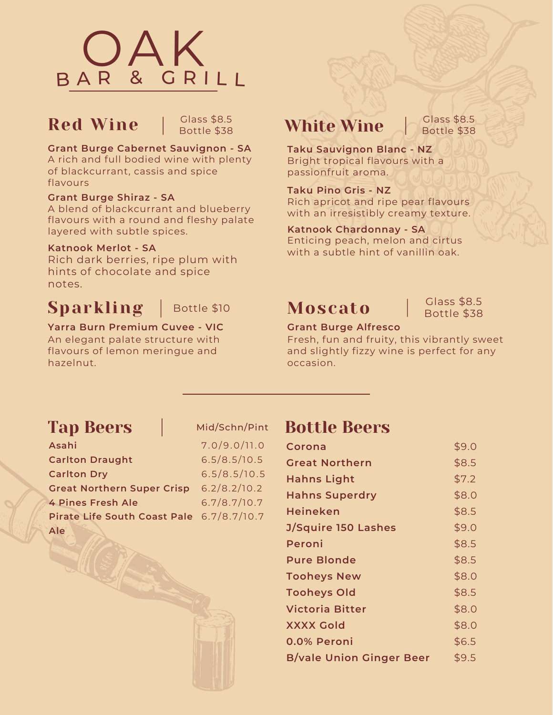

## Red Wine

Glass \$8.5 Bottle \$38

**Grant Burge Cabernet Sauvignon - SA**

A rich and full bodied wine with plenty of blackcurrant, cassis and spice flavours

#### **Grant Burge Shiraz - SA**

A blend of blackcurrant and blueberry flavours with a round and fleshy palate layered with subtle spices.

#### **Katnook Merlot - SA**

Rich dark berries, ripe plum with hints of chocolate and spice notes.

## $Sparkling$  | Bottle \$10

## **Yarra Burn Premium Cuvee - VIC** An elegant palate structure with

flavours of lemon meringue and hazelnut.

## White Wine

Glass \$8.5 Bottle \$38

**Taku Sauvignon Blanc - NZ** Bright tropical flavours with a passionfruit aroma.

**Taku Pino Gris - NZ** Rich apricot and ripe pear flavours with an irresistibly creamy texture.

**Katnook Chardonnay - SA** Enticing peach, melon and cirtus with a subtle hint of vanillin oak.

## Moscato

Glass \$8.5 Bottle \$38

#### **Grant Burge Alfresco**

Fresh, fun and fruity, this vibrantly sweet and slightly fizzy wine is perfect for any occasion.

## Tap Beers

| Asahi                                     | 7.0/9.0/11.0 |
|-------------------------------------------|--------------|
| <b>Carlton Draught</b>                    | 6.5/8.5/10.5 |
| <b>Carlton Dry</b>                        | 6.5/8.5/10.5 |
| <b>Great Northern Super Crisp</b>         | 6.2/8.2/10.2 |
| <b>4 Pines Fresh Ale</b>                  | 6.7/8.7/10.7 |
| Pirate Life South Coast Pale 6.7/8.7/10.7 |              |
| Ale                                       |              |

## Mid/Schn/Pint Bottle Beers

| \$9.0 |
|-------|
| \$8.5 |
| \$7.2 |
| \$8.0 |
| \$8.5 |
| \$9.0 |
| \$8.5 |
| \$8.5 |
| \$8.0 |
| \$8.5 |
| \$8.0 |
| \$8.0 |
| \$6.5 |
| \$9.5 |
|       |